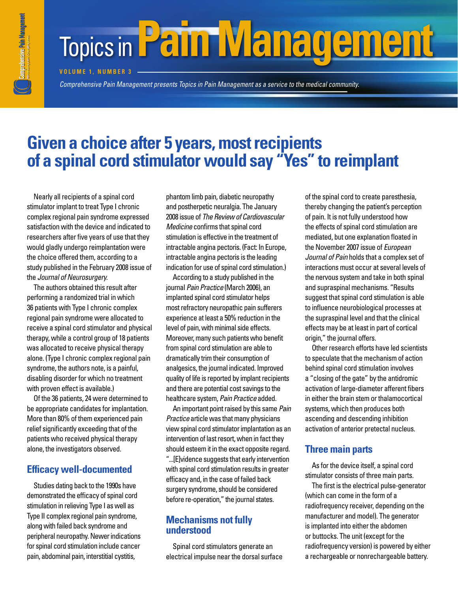# **Topics in Pain Management**

**Volum e Nu mber 3**

*Comprehensive Pain Management presents Topics in Pain Management as a service to the medical community. Comprehensive Pain Management presents* 

## **Given a choice after 5 years, most recipients of a spinal cord stimulator would say "Yes" to reimplant**

Nearly all recipients of a spinal cord stimulator implant to treat Type I chronic complex regional pain syndrome expressed satisfaction with the device and indicated to researchers after five years of use that they would gladly undergo reimplantation were the choice offered them, according to a study published in the February 2008 issue of the *Journal of Neurosurgery.*

The authors obtained this result after performing a randomized trial in which 36 patients with Type I chronic complex regional pain syndrome were allocated to receive a spinal cord stimulator and physical therapy, while a control group of 18 patients was allocated to receive physical therapy alone. (Type I chronic complex regional pain syndrome, the authors note, is a painful, disabling disorder for which no treatment with proven effect is available.)

Of the 36 patients, 24 were determined to be appropriate candidates for implantation. More than 80% of them experienced pain relief significantly exceeding that of the patients who received physical therapy alone, the investigators observed.

### **Efficacy well-documented**

Studies dating back to the 1990s have demonstrated the efficacy of spinal cord stimulation in relieving Type I as well as Type II complex regional pain syndrome, along with failed back syndrome and peripheral neuropathy. Newer indications for spinal cord stimulation include cancer pain, abdominal pain, interstitial cystitis,

phantom limb pain, diabetic neuropathy and postherpetic neuralgia. The January 2008 issue of *The Review of Cardiovascular Medicine* confirms that spinal cord stimulation is effective in the treatment of intractable angina pectoris. (Fact: In Europe, intractable angina pectoris is the leading indication for use of spinal cord stimulation.)

According to a study published in the journal *Pain Practice* (March 2006), an implanted spinal cord stimulator helps most refractory neuropathic pain sufferers experience at least a 50% reduction in the level of pain, with minimal side effects. Moreover, many such patients who benefit from spinal cord stimulation are able to dramatically trim their consumption of analgesics, the journal indicated. Improved quality of life is reported by implant recipients and there are potential cost savings to the healthcare system, *Pain Practice* added.

An important point raised by this same *Pain Practice* article was that many physicians view spinal cord stimulator implantation as an intervention of last resort, when in fact they should esteem it in the exact opposite regard. "...[E]vidence suggests that early intervention with spinal cord stimulation results in greater efficacy and, in the case of failed back surgery syndrome, should be considered before re-operation," the journal states.

#### **Mechanisms not fully understood**

Spinal cord stimulators generate an electrical impulse near the dorsal surface of the spinal cord to create paresthesia, thereby changing the patient's perception of pain. It is not fully understood how the effects of spinal cord stimulation are mediated, but one explanation floated in the November 2007 issue of *European Journal of Pain* holds that a complex set of interactions must occur at several levels of the nervous system and take in both spinal and supraspinal mechanisms. "Results suggest that spinal cord stimulation is able to influence neurobiological processes at the supraspinal level and that the clinical effects may be at least in part of cortical origin," the journal offers.

Other research efforts have led scientists to speculate that the mechanism of action behind spinal cord stimulation involves a "closing of the gate" by the antidromic activation of large-diameter afferent fibers in either the brain stem or thalamocortical systems, which then produces both ascending and descending inhibition activation of anterior pretectal nucleus.

#### **Three main parts**

As for the device itself, a spinal cord stimulator consists of three main parts.

The first is the electrical pulse-generator (which can come in the form of a radiofrequency receiver, depending on the manufacturer and model). The generator is implanted into either the abdomen or buttocks. The unit (except for the radiofrequency version) is powered by either a rechargeable or nonrechargeable battery.